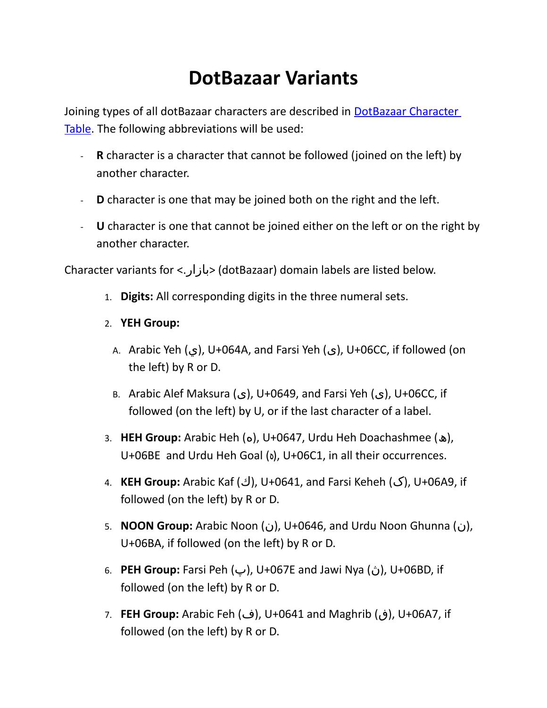## **DotBazaar Variants**

Joining types of all dotBazaar characters are described in **DotBazaar Character** [Table.](http://keyboard.nic.xn--mgbab2bd/javax.faces.resource/pdf/DotBazaar_Character_Table.pdf) The following abbreviations will be used:

- **R** character is a character that cannot be followed (joined on the left) by another character.
- **D** character is one that may be joined both on the right and the left.
- **U** character is one that cannot be joined either on the left or on the right by another character.

Character variants for <.بازار) <dotBazaar) domain labels are listed below.

- 1. **Digits:** All corresponding digits in the three numeral sets.
- 2. **YEH Group:**
	- A. Arabic Yeh (ي(, U+064A, and Farsi Yeh (ی(, U+06CC, if followed (on the left) by R or D.
	- B. Arabic Alef Maksura (ى(, U+0649, and Farsi Yeh (ی(, U+06CC, if followed (on the left) by U, or if the last character of a label.
- 3. **HEH Group:** Arabic Heh (ه(, U+0647, Urdu Heh Doachashmee (ھ(, U+06BE and Urdu Heh Goal ( $\delta$ ), U+06C1, in all their occurrences.
- 4. **KEH Group:** Arabic Kaf (ك), U+0641, and Farsi Keheh (ك), U+06A9, if followed (on the left) by R or D.
- 5. **NOON Group:** Arabic Noon (ن), U+0646, and Urdu Noon Ghunna (ن), U+06BA, if followed (on the left) by R or D.
- 6. **PEH Group:** Farsi Peh (پ), U+067E and Jawi Nya (ن), U+06BD, if followed (on the left) by R or D.
- 7. **FEH Group:** Arabic Feh (ف(, U+0641 and Maghrib (ڧ(, U+06A7, if followed (on the left) by R or D.